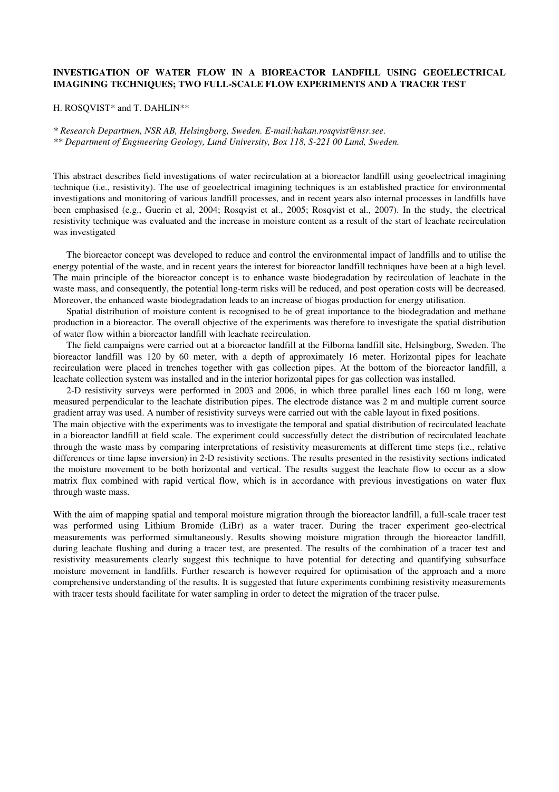## **INVESTIGATION OF WATER FLOW IN A BIOREACTOR LANDFILL USING GEOELECTRICAL IMAGINING TECHNIQUES; TWO FULL-SCALE FLOW EXPERIMENTS AND A TRACER TEST**

## H. ROSQVIST\* and T. DAHLIN\*\*

*\* Research Departmen, NSR AB, Helsingborg, Sweden. E-mail:hakan.rosqvist@nsr.see. \*\* Department of Engineering Geology, Lund University, Box 118, S-221 00 Lund, Sweden.* 

This abstract describes field investigations of water recirculation at a bioreactor landfill using geoelectrical imagining technique (i.e., resistivity). The use of geoelectrical imagining techniques is an established practice for environmental investigations and monitoring of various landfill processes, and in recent years also internal processes in landfills have been emphasised (e.g., Guerin et al, 2004; Rosqvist et al., 2005; Rosqvist et al., 2007). In the study, the electrical resistivity technique was evaluated and the increase in moisture content as a result of the start of leachate recirculation was investigated

The bioreactor concept was developed to reduce and control the environmental impact of landfills and to utilise the energy potential of the waste, and in recent years the interest for bioreactor landfill techniques have been at a high level. The main principle of the bioreactor concept is to enhance waste biodegradation by recirculation of leachate in the waste mass, and consequently, the potential long-term risks will be reduced, and post operation costs will be decreased. Moreover, the enhanced waste biodegradation leads to an increase of biogas production for energy utilisation.

Spatial distribution of moisture content is recognised to be of great importance to the biodegradation and methane production in a bioreactor. The overall objective of the experiments was therefore to investigate the spatial distribution of water flow within a bioreactor landfill with leachate recirculation.

The field campaigns were carried out at a bioreactor landfill at the Filborna landfill site, Helsingborg, Sweden. The bioreactor landfill was 120 by 60 meter, with a depth of approximately 16 meter. Horizontal pipes for leachate recirculation were placed in trenches together with gas collection pipes. At the bottom of the bioreactor landfill, a leachate collection system was installed and in the interior horizontal pipes for gas collection was installed.

2-D resistivity surveys were performed in 2003 and 2006, in which three parallel lines each 160 m long, were measured perpendicular to the leachate distribution pipes. The electrode distance was 2 m and multiple current source gradient array was used. A number of resistivity surveys were carried out with the cable layout in fixed positions.

The main objective with the experiments was to investigate the temporal and spatial distribution of recirculated leachate in a bioreactor landfill at field scale. The experiment could successfully detect the distribution of recirculated leachate through the waste mass by comparing interpretations of resistivity measurements at different time steps (i.e., relative differences or time lapse inversion) in 2-D resistivity sections. The results presented in the resistivity sections indicated the moisture movement to be both horizontal and vertical. The results suggest the leachate flow to occur as a slow matrix flux combined with rapid vertical flow, which is in accordance with previous investigations on water flux through waste mass.

With the aim of mapping spatial and temporal moisture migration through the bioreactor landfill, a full-scale tracer test was performed using Lithium Bromide (LiBr) as a water tracer. During the tracer experiment geo-electrical measurements was performed simultaneously. Results showing moisture migration through the bioreactor landfill, during leachate flushing and during a tracer test, are presented. The results of the combination of a tracer test and resistivity measurements clearly suggest this technique to have potential for detecting and quantifying subsurface moisture movement in landfills. Further research is however required for optimisation of the approach and a more comprehensive understanding of the results. It is suggested that future experiments combining resistivity measurements with tracer tests should facilitate for water sampling in order to detect the migration of the tracer pulse.